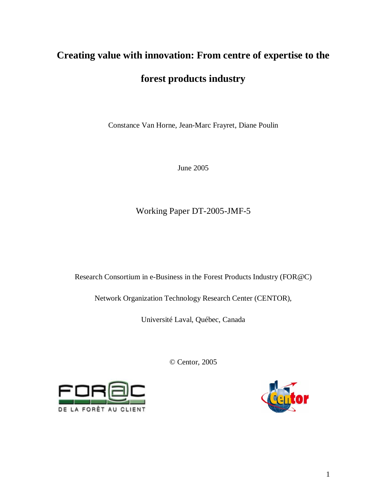# **Creating value with innovation: From centre of expertise to the**

# **forest products industry**

Constance Van Horne, Jean-Marc Frayret, Diane Poulin

June 2005

Working Paper DT-2005-JMF-5

Research Consortium in e-Business in the Forest Products Industry (FOR@C)

Network Organization Technology Research Center (CENTOR),

Université Laval, Québec, Canada

© Centor, 2005



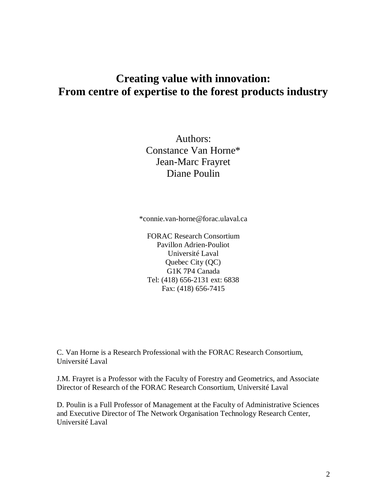# **Creating value with innovation: From centre of expertise to the forest products industry**

Authors: Constance Van Horne\* Jean-Marc Frayret Diane Poulin

\*connie.van-horne@forac.ulaval.ca

FORAC Research Consortium Pavillon Adrien-Pouliot Université Laval Quebec City (QC) G1K 7P4 Canada Tel: (418) 656-2131 ext: 6838 Fax: (418) 656-7415

C. Van Horne is a Research Professional with the FORAC Research Consortium, Université Laval

J.M. Frayret is a Professor with the Faculty of Forestry and Geometrics, and Associate Director of Research of the FORAC Research Consortium, Université Laval

D. Poulin is a Full Professor of Management at the Faculty of Administrative Sciences and Executive Director of The Network Organisation Technology Research Center, Université Laval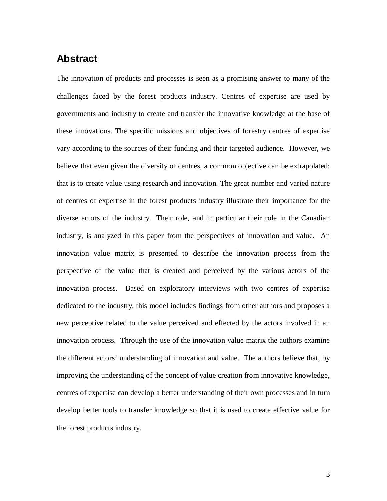## **Abstract**

The innovation of products and processes is seen as a promising answer to many of the challenges faced by the forest products industry. Centres of expertise are used by governments and industry to create and transfer the innovative knowledge at the base of these innovations. The specific missions and objectives of forestry centres of expertise vary according to the sources of their funding and their targeted audience. However, we believe that even given the diversity of centres, a common objective can be extrapolated: that is to create value using research and innovation. The great number and varied nature of centres of expertise in the forest products industry illustrate their importance for the diverse actors of the industry. Their role, and in particular their role in the Canadian industry, is analyzed in this paper from the perspectives of innovation and value. An innovation value matrix is presented to describe the innovation process from the perspective of the value that is created and perceived by the various actors of the innovation process. Based on exploratory interviews with two centres of expertise dedicated to the industry, this model includes findings from other authors and proposes a new perceptive related to the value perceived and effected by the actors involved in an innovation process. Through the use of the innovation value matrix the authors examine the different actors' understanding of innovation and value. The authors believe that, by improving the understanding of the concept of value creation from innovative knowledge, centres of expertise can develop a better understanding of their own processes and in turn develop better tools to transfer knowledge so that it is used to create effective value for the forest products industry.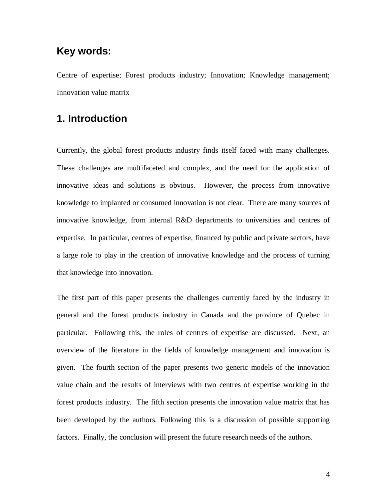## **Key words:**

Centre of expertise; Forest products industry; Innovation; Knowledge management; Innovation value matrix

## **1. Introduction**

Currently, the global forest products industry finds itself faced with many challenges. These challenges are multifaceted and complex, and the need for the application of innovative ideas and solutions is obvious. However, the process from innovative knowledge to implanted or consumed innovation is not clear. There are many sources of innovative knowledge, from internal R&D departments to universities and centres of expertise. In particular, centres of expertise, financed by public and private sectors, have a large role to play in the creation of innovative knowledge and the process of turning that knowledge into innovation.

The first part of this paper presents the challenges currently faced by the industry in general and the forest products industry in Canada and the province of Quebec in particular. Following this, the roles of centres of expertise are discussed. Next, an overview of the literature in the fields of knowledge management and innovation is given. The fourth section of the paper presents two generic models of the innovation value chain and the results of interviews with two centres of expertise working in the forest products industry. The fifth section presents the innovation value matrix that has been developed by the authors. Following this is a discussion of possible supporting factors. Finally, the conclusion will present the future research needs of the authors.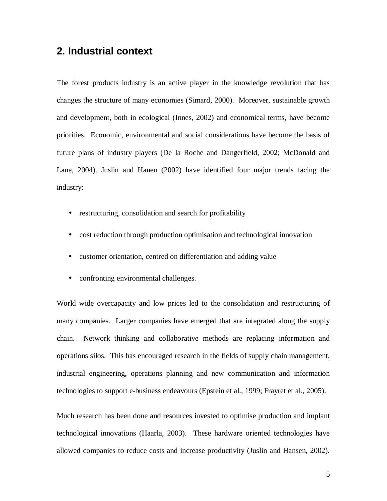## **2. Industrial context**

The forest products industry is an active player in the knowledge revolution that has changes the structure of many economies (Simard, 2000). Moreover, sustainable growth and development, both in ecological (Innes, 2002) and economical terms, have become priorities. Economic, environmental and social considerations have become the basis of future plans of industry players (De la Roche and Dangerfield, 2002; McDonald and Lane, 2004). Juslin and Hanen (2002) have identified four major trends facing the industry:

- restructuring, consolidation and search for profitability
- cost reduction through production optimisation and technological innovation
- customer orientation, centred on differentiation and adding value
- confronting environmental challenges.

World wide overcapacity and low prices led to the consolidation and restructuring of many companies. Larger companies have emerged that are integrated along the supply chain. Network thinking and collaborative methods are replacing information and operations silos. This has encouraged research in the fields of supply chain management, industrial engineering, operations planning and new communication and information technologies to support e-business endeavours (Epstein et al., 1999; Frayret et al*.,* 2005).

Much research has been done and resources invested to optimise production and implant technological innovations (Haarla, 2003). These hardware oriented technologies have allowed companies to reduce costs and increase productivity (Juslin and Hansen, 2002).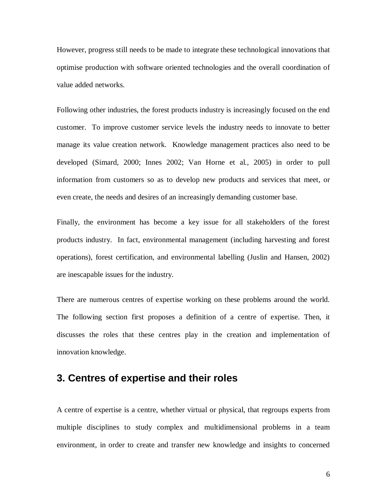However, progress still needs to be made to integrate these technological innovations that optimise production with software oriented technologies and the overall coordination of value added networks.

Following other industries, the forest products industry is increasingly focused on the end customer. To improve customer service levels the industry needs to innovate to better manage its value creation network. Knowledge management practices also need to be developed (Simard, 2000; Innes 2002; Van Horne et al*.*, 2005) in order to pull information from customers so as to develop new products and services that meet, or even create, the needs and desires of an increasingly demanding customer base.

Finally, the environment has become a key issue for all stakeholders of the forest products industry. In fact, environmental management (including harvesting and forest operations), forest certification, and environmental labelling (Juslin and Hansen, 2002) are inescapable issues for the industry.

There are numerous centres of expertise working on these problems around the world. The following section first proposes a definition of a centre of expertise. Then, it discusses the roles that these centres play in the creation and implementation of innovation knowledge.

## **3. Centres of expertise and their roles**

A centre of expertise is a centre, whether virtual or physical, that regroups experts from multiple disciplines to study complex and multidimensional problems in a team environment, in order to create and transfer new knowledge and insights to concerned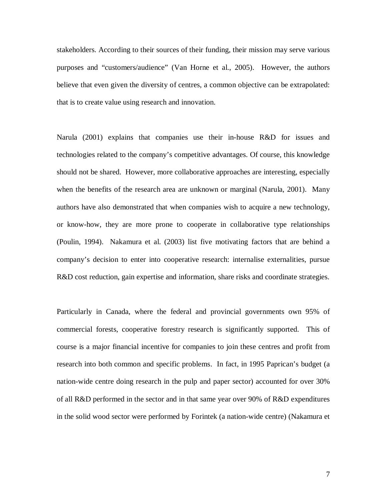stakeholders. According to their sources of their funding, their mission may serve various purposes and "customers/audience" (Van Horne et al., 2005). However, the authors believe that even given the diversity of centres, a common objective can be extrapolated: that is to create value using research and innovation.

Narula (2001) explains that companies use their in-house R&D for issues and technologies related to the company's competitive advantages. Of course, this knowledge should not be shared. However, more collaborative approaches are interesting, especially when the benefits of the research area are unknown or marginal (Narula, 2001). Many authors have also demonstrated that when companies wish to acquire a new technology, or know-how, they are more prone to cooperate in collaborative type relationships (Poulin*,* 1994). Nakamura et al. (2003) list five motivating factors that are behind a company's decision to enter into cooperative research: internalise externalities, pursue R&D cost reduction, gain expertise and information, share risks and coordinate strategies.

Particularly in Canada, where the federal and provincial governments own 95% of commercial forests, cooperative forestry research is significantly supported. This of course is a major financial incentive for companies to join these centres and profit from research into both common and specific problems. In fact, in 1995 Paprican's budget (a nation-wide centre doing research in the pulp and paper sector) accounted for over 30% of all R&D performed in the sector and in that same year over 90% of R&D expenditures in the solid wood sector were performed by Forintek (a nation-wide centre) (Nakamura et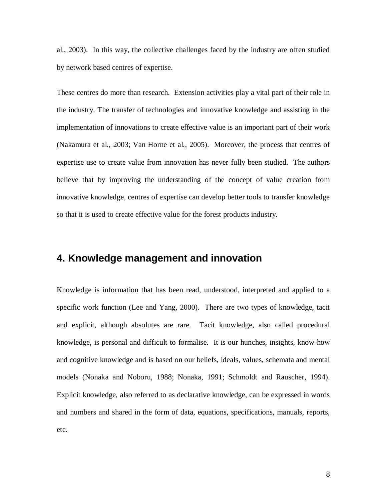al., 2003). In this way, the collective challenges faced by the industry are often studied by network based centres of expertise.

These centres do more than research. Extension activities play a vital part of their role in the industry. The transfer of technologies and innovative knowledge and assisting in the implementation of innovations to create effective value is an important part of their work (Nakamura et al., 2003; Van Horne et al*.,* 2005). Moreover, the process that centres of expertise use to create value from innovation has never fully been studied. The authors believe that by improving the understanding of the concept of value creation from innovative knowledge, centres of expertise can develop better tools to transfer knowledge so that it is used to create effective value for the forest products industry.

## **4. Knowledge management and innovation**

Knowledge is information that has been read, understood, interpreted and applied to a specific work function (Lee and Yang, 2000). There are two types of knowledge, tacit and explicit, although absolutes are rare. Tacit knowledge, also called procedural knowledge, is personal and difficult to formalise. It is our hunches, insights, know-how and cognitive knowledge and is based on our beliefs, ideals, values, schemata and mental models (Nonaka and Noboru, 1988; Nonaka, 1991; Schmoldt and Rauscher, 1994). Explicit knowledge, also referred to as declarative knowledge, can be expressed in words and numbers and shared in the form of data, equations, specifications, manuals, reports, etc.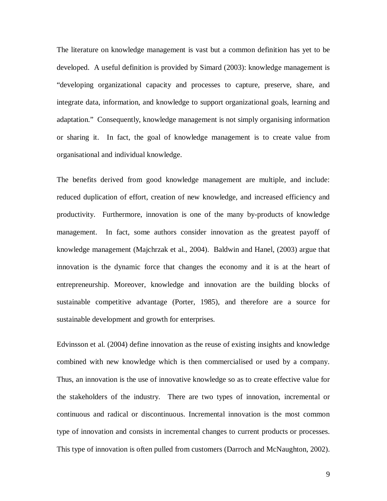The literature on knowledge management is vast but a common definition has yet to be developed. A useful definition is provided by Simard (2003): knowledge management is "developing organizational capacity and processes to capture, preserve, share, and integrate data, information, and knowledge to support organizational goals, learning and adaptation." Consequently, knowledge management is not simply organising information or sharing it. In fact, the goal of knowledge management is to create value from organisational and individual knowledge.

The benefits derived from good knowledge management are multiple, and include: reduced duplication of effort, creation of new knowledge, and increased efficiency and productivity. Furthermore, innovation is one of the many by-products of knowledge management. In fact, some authors consider innovation as the greatest payoff of knowledge management (Majchrzak et al., 2004). Baldwin and Hanel, (2003) argue that innovation is the dynamic force that changes the economy and it is at the heart of entrepreneurship. Moreover, knowledge and innovation are the building blocks of sustainable competitive advantage (Porter, 1985), and therefore are a source for sustainable development and growth for enterprises.

Edvinsson et al. (2004) define innovation as the reuse of existing insights and knowledge combined with new knowledge which is then commercialised or used by a company. Thus, an innovation is the use of innovative knowledge so as to create effective value for the stakeholders of the industry. There are two types of innovation, incremental or continuous and radical or discontinuous. Incremental innovation is the most common type of innovation and consists in incremental changes to current products or processes. This type of innovation is often pulled from customers (Darroch and McNaughton, 2002).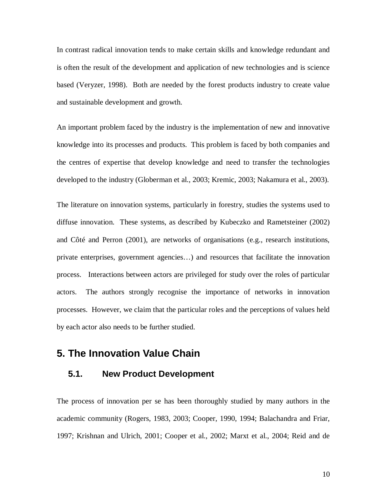In contrast radical innovation tends to make certain skills and knowledge redundant and is often the result of the development and application of new technologies and is science based (Veryzer, 1998). Both are needed by the forest products industry to create value and sustainable development and growth.

An important problem faced by the industry is the implementation of new and innovative knowledge into its processes and products. This problem is faced by both companies and the centres of expertise that develop knowledge and need to transfer the technologies developed to the industry (Globerman et al., 2003; Kremic, 2003; Nakamura et al., 2003).

The literature on innovation systems, particularly in forestry, studies the systems used to diffuse innovation. These systems, as described by Kubeczko and Rametsteiner (2002) and Côté and Perron (2001), are networks of organisations (e.g., research institutions, private enterprises, government agencies…) and resources that facilitate the innovation process. Interactions between actors are privileged for study over the roles of particular actors. The authors strongly recognise the importance of networks in innovation processes. However, we claim that the particular roles and the perceptions of values held by each actor also needs to be further studied.

## **5. The Innovation Value Chain**

#### **5.1. New Product Development**

The process of innovation per se has been thoroughly studied by many authors in the academic community (Rogers, 1983, 2003; Cooper, 1990, 1994; Balachandra and Friar, 1997; Krishnan and Ulrich, 2001; Cooper et al., 2002; Marxt et al., 2004; Reid and de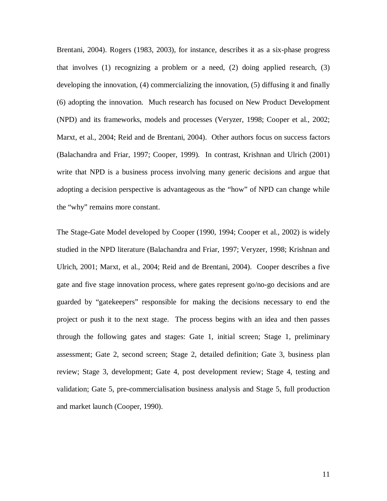Brentani, 2004). Rogers (1983, 2003), for instance, describes it as a six-phase progress that involves (1) recognizing a problem or a need, (2) doing applied research, (3) developing the innovation, (4) commercializing the innovation, (5) diffusing it and finally (6) adopting the innovation. Much research has focused on New Product Development (NPD) and its frameworks, models and processes (Veryzer, 1998; Cooper et al., 2002; Marxt, et al., 2004; Reid and de Brentani, 2004). Other authors focus on success factors (Balachandra and Friar, 1997; Cooper, 1999). In contrast, Krishnan and Ulrich (2001) write that NPD is a business process involving many generic decisions and argue that adopting a decision perspective is advantageous as the "how" of NPD can change while the "why" remains more constant.

The Stage-Gate Model developed by Cooper (1990, 1994; Cooper et al., 2002) is widely studied in the NPD literature (Balachandra and Friar, 1997; Veryzer, 1998; Krishnan and Ulrich, 2001; Marxt, et al., 2004; Reid and de Brentani, 2004). Cooper describes a five gate and five stage innovation process, where gates represent go/no-go decisions and are guarded by "gatekeepers" responsible for making the decisions necessary to end the project or push it to the next stage. The process begins with an idea and then passes through the following gates and stages: Gate 1, initial screen; Stage 1, preliminary assessment; Gate 2, second screen; Stage 2, detailed definition; Gate 3, business plan review; Stage 3, development; Gate 4, post development review; Stage 4, testing and validation; Gate 5, pre-commercialisation business analysis and Stage 5, full production and market launch (Cooper, 1990).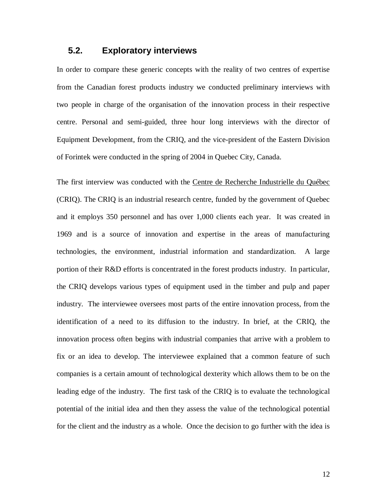#### **5.2. Exploratory interviews**

In order to compare these generic concepts with the reality of two centres of expertise from the Canadian forest products industry we conducted preliminary interviews with two people in charge of the organisation of the innovation process in their respective centre. Personal and semi-guided, three hour long interviews with the director of Equipment Development, from the CRIQ, and the vice-president of the Eastern Division of Forintek were conducted in the spring of 2004 in Quebec City, Canada.

The first interview was conducted with the Centre de Recherche Industrielle du Québec (CRIQ). The CRIQ is an industrial research centre, funded by the government of Quebec and it employs 350 personnel and has over 1,000 clients each year. It was created in 1969 and is a source of innovation and expertise in the areas of manufacturing technologies, the environment, industrial information and standardization. A large portion of their R&D efforts is concentrated in the forest products industry. In particular, the CRIQ develops various types of equipment used in the timber and pulp and paper industry. The interviewee oversees most parts of the entire innovation process, from the identification of a need to its diffusion to the industry. In brief, at the CRIQ, the innovation process often begins with industrial companies that arrive with a problem to fix or an idea to develop. The interviewee explained that a common feature of such companies is a certain amount of technological dexterity which allows them to be on the leading edge of the industry. The first task of the CRIQ is to evaluate the technological potential of the initial idea and then they assess the value of the technological potential for the client and the industry as a whole. Once the decision to go further with the idea is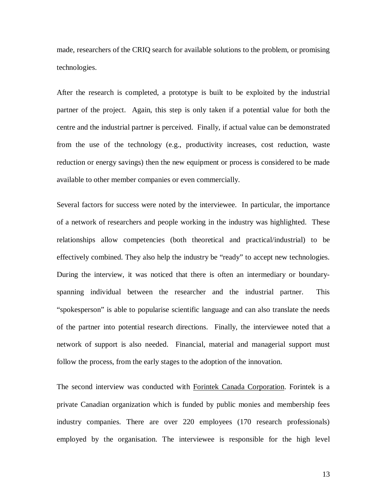made, researchers of the CRIQ search for available solutions to the problem, or promising technologies.

After the research is completed, a prototype is built to be exploited by the industrial partner of the project. Again, this step is only taken if a potential value for both the centre and the industrial partner is perceived. Finally, if actual value can be demonstrated from the use of the technology (e.g., productivity increases, cost reduction, waste reduction or energy savings) then the new equipment or process is considered to be made available to other member companies or even commercially.

Several factors for success were noted by the interviewee. In particular, the importance of a network of researchers and people working in the industry was highlighted. These relationships allow competencies (both theoretical and practical/industrial) to be effectively combined. They also help the industry be "ready" to accept new technologies. During the interview, it was noticed that there is often an intermediary or boundaryspanning individual between the researcher and the industrial partner. This "spokesperson" is able to popularise scientific language and can also translate the needs of the partner into potential research directions. Finally, the interviewee noted that a network of support is also needed. Financial, material and managerial support must follow the process, from the early stages to the adoption of the innovation.

The second interview was conducted with Forintek Canada Corporation. Forintek is a private Canadian organization which is funded by public monies and membership fees industry companies. There are over 220 employees (170 research professionals) employed by the organisation. The interviewee is responsible for the high level

13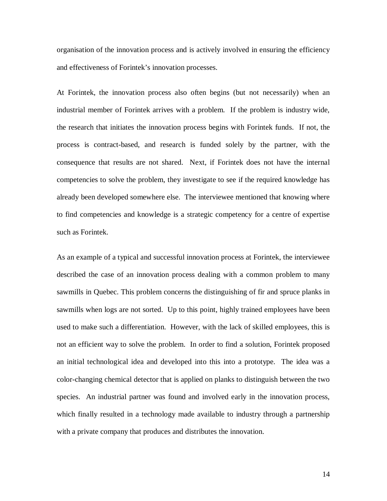organisation of the innovation process and is actively involved in ensuring the efficiency and effectiveness of Forintek's innovation processes.

At Forintek, the innovation process also often begins (but not necessarily) when an industrial member of Forintek arrives with a problem. If the problem is industry wide, the research that initiates the innovation process begins with Forintek funds. If not, the process is contract-based, and research is funded solely by the partner, with the consequence that results are not shared. Next, if Forintek does not have the internal competencies to solve the problem, they investigate to see if the required knowledge has already been developed somewhere else. The interviewee mentioned that knowing where to find competencies and knowledge is a strategic competency for a centre of expertise such as Forintek.

As an example of a typical and successful innovation process at Forintek, the interviewee described the case of an innovation process dealing with a common problem to many sawmills in Quebec. This problem concerns the distinguishing of fir and spruce planks in sawmills when logs are not sorted. Up to this point, highly trained employees have been used to make such a differentiation. However, with the lack of skilled employees, this is not an efficient way to solve the problem. In order to find a solution, Forintek proposed an initial technological idea and developed into this into a prototype. The idea was a color-changing chemical detector that is applied on planks to distinguish between the two species. An industrial partner was found and involved early in the innovation process, which finally resulted in a technology made available to industry through a partnership with a private company that produces and distributes the innovation.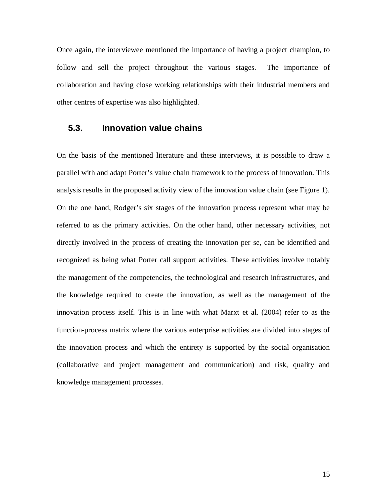Once again, the interviewee mentioned the importance of having a project champion, to follow and sell the project throughout the various stages. The importance of collaboration and having close working relationships with their industrial members and other centres of expertise was also highlighted.

#### **5.3. Innovation value chains**

On the basis of the mentioned literature and these interviews, it is possible to draw a parallel with and adapt Porter's value chain framework to the process of innovation. This analysis results in the proposed activity view of the innovation value chain (see Figure 1). On the one hand, Rodger's six stages of the innovation process represent what may be referred to as the primary activities. On the other hand, other necessary activities, not directly involved in the process of creating the innovation per se, can be identified and recognized as being what Porter call support activities. These activities involve notably the management of the competencies, the technological and research infrastructures, and the knowledge required to create the innovation, as well as the management of the innovation process itself. This is in line with what Marxt et al. (2004) refer to as the function-process matrix where the various enterprise activities are divided into stages of the innovation process and which the entirety is supported by the social organisation (collaborative and project management and communication) and risk, quality and knowledge management processes.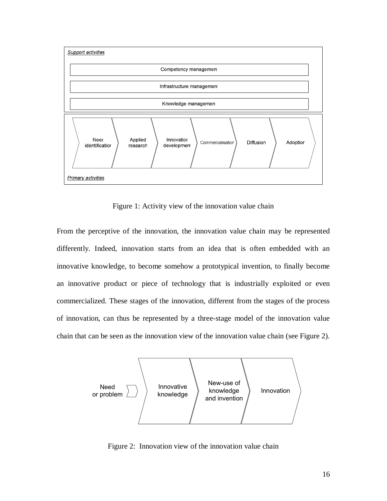

Figure 1: Activity view of the innovation value chain

From the perceptive of the innovation, the innovation value chain may be represented differently. Indeed, innovation starts from an idea that is often embedded with an innovative knowledge, to become somehow a prototypical invention, to finally become an innovative product or piece of technology that is industrially exploited or even commercialized. These stages of the innovation, different from the stages of the process of innovation, can thus be represented by a three-stage model of the innovation value chain that can be seen as the innovation view of the innovation value chain (see Figure 2).



Figure 2: Innovation view of the innovation value chain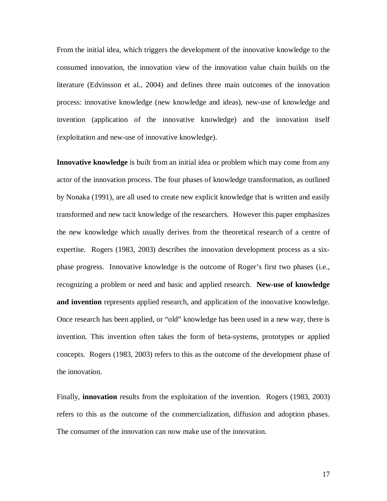From the initial idea, which triggers the development of the innovative knowledge to the consumed innovation, the innovation view of the innovation value chain builds on the literature (Edvinsson et al., 2004) and defines three main outcomes of the innovation process: innovative knowledge (new knowledge and ideas), new-use of knowledge and invention (application of the innovative knowledge) and the innovation itself (exploitation and new-use of innovative knowledge).

**Innovative knowledge** is built from an initial idea or problem which may come from any actor of the innovation process. The four phases of knowledge transformation, as outlined by Nonaka (1991), are all used to create new explicit knowledge that is written and easily transformed and new tacit knowledge of the researchers. However this paper emphasizes the new knowledge which usually derives from the theoretical research of a centre of expertise. Rogers (1983, 2003) describes the innovation development process as a sixphase progress. Innovative knowledge is the outcome of Roger's first two phases (i.e., recognizing a problem or need and basic and applied research. **New-use of knowledge and invention** represents applied research, and application of the innovative knowledge. Once research has been applied, or "old" knowledge has been used in a new way, there is invention. This invention often takes the form of beta-systems, prototypes or applied concepts. Rogers (1983, 2003) refers to this as the outcome of the development phase of the innovation.

Finally, **innovation** results from the exploitation of the invention. Rogers (1983, 2003) refers to this as the outcome of the commercialization, diffusion and adoption phases. The consumer of the innovation can now make use of the innovation.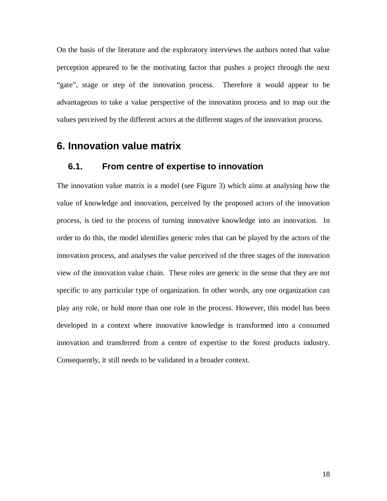On the basis of the literature and the exploratory interviews the authors noted that value perception appeared to be the motivating factor that pushes a project through the next "gate", stage or step of the innovation process. Therefore it would appear to be advantageous to take a value perspective of the innovation process and to map out the values perceived by the different actors at the different stages of the innovation process.

### **6. Innovation value matrix**

#### **6.1. From centre of expertise to innovation**

The innovation value matrix is a model (see Figure 3) which aims at analysing how the value of knowledge and innovation, perceived by the proposed actors of the innovation process, is tied to the process of turning innovative knowledge into an innovation. In order to do this, the model identifies generic roles that can be played by the actors of the innovation process, and analyses the value perceived of the three stages of the innovation view of the innovation value chain. These roles are generic in the sense that they are not specific to any particular type of organization. In other words, any one organization can play any role, or hold more than one role in the process. However, this model has been developed in a context where innovative knowledge is transformed into a consumed innovation and transferred from a centre of expertise to the forest products industry. Consequently, it still needs to be validated in a broader context.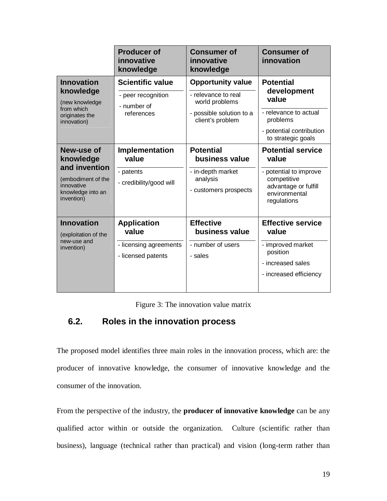|                                                                                                                 | <b>Producer of</b><br>innovative<br>knowledge                               | <b>Consumer of</b><br>innovative<br>knowledge                                                                     | <b>Consumer of</b><br>innovation                                                                                                   |
|-----------------------------------------------------------------------------------------------------------------|-----------------------------------------------------------------------------|-------------------------------------------------------------------------------------------------------------------|------------------------------------------------------------------------------------------------------------------------------------|
| <b>Innovation</b><br>knowledge<br>(new knowledge<br>from which<br>originates the<br>innovation)                 | <b>Scientific value</b><br>- peer recognition<br>- number of<br>references  | <b>Opportunity value</b><br>- relevance to real<br>world problems<br>- possible solution to a<br>client's problem | <b>Potential</b><br>development<br>value<br>- relevance to actual<br>problems<br>- potential contribution<br>to strategic goals    |
| New-use of<br>knowledge<br>and invention<br>(embodiment of the<br>innovative<br>knowledge into an<br>invention) | <b>Implementation</b><br>value<br>- patents<br>- credibility/good will      | <b>Potential</b><br>business value<br>- in-depth market<br>analysis<br>- customers prospects                      | <b>Potential service</b><br>value<br>- potential to improve<br>competitive<br>advantage or fulfill<br>environmental<br>regulations |
| <b>Innovation</b><br>(exploitation of the<br>new-use and<br>invention)                                          | <b>Application</b><br>value<br>- licensing agreements<br>- licensed patents | <b>Effective</b><br>business value<br>- number of users<br>- sales                                                | <b>Effective service</b><br>value<br>- improved market<br>position<br>- increased sales<br>- increased efficiency                  |

Figure 3: The innovation value matrix

## **6.2. Roles in the innovation process**

The proposed model identifies three main roles in the innovation process, which are: the producer of innovative knowledge, the consumer of innovative knowledge and the consumer of the innovation.

From the perspective of the industry, the **producer of innovative knowledge** can be any qualified actor within or outside the organization. Culture (scientific rather than business), language (technical rather than practical) and vision (long-term rather than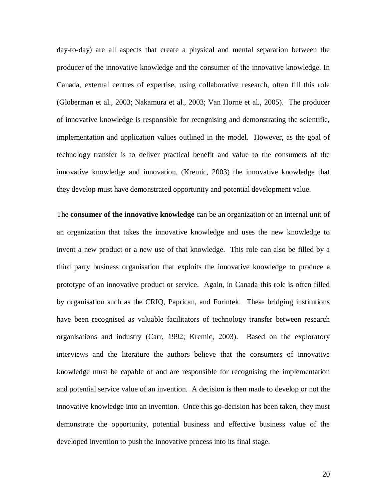day-to-day) are all aspects that create a physical and mental separation between the producer of the innovative knowledge and the consumer of the innovative knowledge. In Canada, external centres of expertise, using collaborative research, often fill this role (Globerman et al., 2003; Nakamura et al., 2003; Van Horne et al*.,* 2005). The producer of innovative knowledge is responsible for recognising and demonstrating the scientific, implementation and application values outlined in the model. However, as the goal of technology transfer is to deliver practical benefit and value to the consumers of the innovative knowledge and innovation, (Kremic, 2003) the innovative knowledge that they develop must have demonstrated opportunity and potential development value.

The **consumer of the innovative knowledge** can be an organization or an internal unit of an organization that takes the innovative knowledge and uses the new knowledge to invent a new product or a new use of that knowledge. This role can also be filled by a third party business organisation that exploits the innovative knowledge to produce a prototype of an innovative product or service. Again, in Canada this role is often filled by organisation such as the CRIQ, Paprican, and Forintek. These bridging institutions have been recognised as valuable facilitators of technology transfer between research organisations and industry (Carr, 1992; Kremic, 2003). Based on the exploratory interviews and the literature the authors believe that the consumers of innovative knowledge must be capable of and are responsible for recognising the implementation and potential service value of an invention. A decision is then made to develop or not the innovative knowledge into an invention. Once this go-decision has been taken, they must demonstrate the opportunity, potential business and effective business value of the developed invention to push the innovative process into its final stage.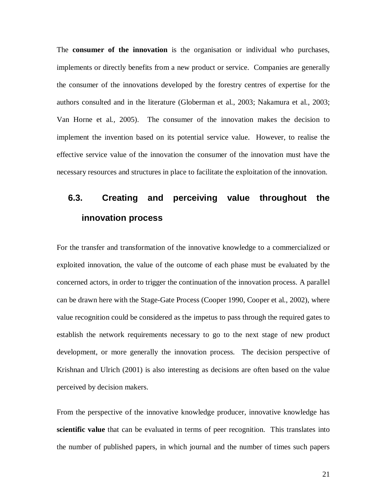The **consumer of the innovation** is the organisation or individual who purchases, implements or directly benefits from a new product or service. Companies are generally the consumer of the innovations developed by the forestry centres of expertise for the authors consulted and in the literature (Globerman et al., 2003; Nakamura et al., 2003; Van Horne et al*.,* 2005). The consumer of the innovation makes the decision to implement the invention based on its potential service value. However, to realise the effective service value of the innovation the consumer of the innovation must have the necessary resources and structures in place to facilitate the exploitation of the innovation.

# **6.3. Creating and perceiving value throughout the innovation process**

For the transfer and transformation of the innovative knowledge to a commercialized or exploited innovation, the value of the outcome of each phase must be evaluated by the concerned actors, in order to trigger the continuation of the innovation process. A parallel can be drawn here with the Stage-Gate Process (Cooper 1990, Cooper et al., 2002), where value recognition could be considered as the impetus to pass through the required gates to establish the network requirements necessary to go to the next stage of new product development, or more generally the innovation process. The decision perspective of Krishnan and Ulrich (2001) is also interesting as decisions are often based on the value perceived by decision makers.

From the perspective of the innovative knowledge producer, innovative knowledge has **scientific value** that can be evaluated in terms of peer recognition. This translates into the number of published papers, in which journal and the number of times such papers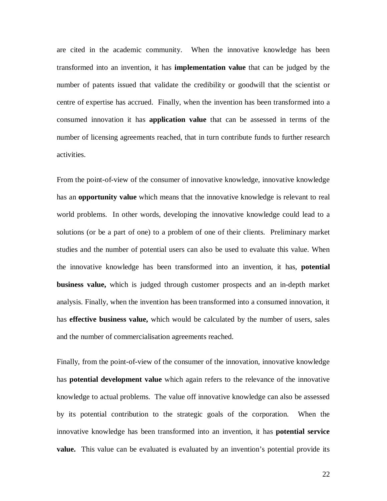are cited in the academic community. When the innovative knowledge has been transformed into an invention, it has **implementation value** that can be judged by the number of patents issued that validate the credibility or goodwill that the scientist or centre of expertise has accrued. Finally, when the invention has been transformed into a consumed innovation it has **application value** that can be assessed in terms of the number of licensing agreements reached, that in turn contribute funds to further research activities.

From the point-of-view of the consumer of innovative knowledge, innovative knowledge has an **opportunity value** which means that the innovative knowledge is relevant to real world problems. In other words, developing the innovative knowledge could lead to a solutions (or be a part of one) to a problem of one of their clients. Preliminary market studies and the number of potential users can also be used to evaluate this value. When the innovative knowledge has been transformed into an invention, it has, **potential business value,** which is judged through customer prospects and an in-depth market analysis. Finally, when the invention has been transformed into a consumed innovation, it has **effective business value,** which would be calculated by the number of users, sales and the number of commercialisation agreements reached.

Finally, from the point-of-view of the consumer of the innovation, innovative knowledge has **potential development value** which again refers to the relevance of the innovative knowledge to actual problems. The value off innovative knowledge can also be assessed by its potential contribution to the strategic goals of the corporation. When the innovative knowledge has been transformed into an invention, it has **potential service value.** This value can be evaluated is evaluated by an invention's potential provide its

22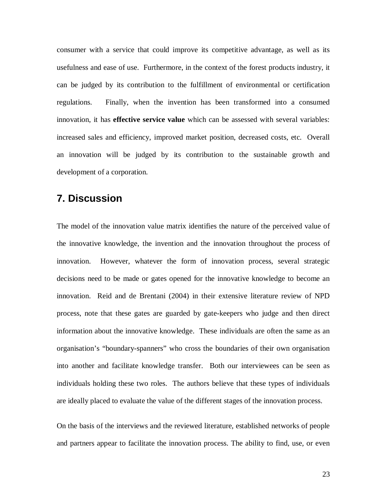consumer with a service that could improve its competitive advantage, as well as its usefulness and ease of use. Furthermore, in the context of the forest products industry, it can be judged by its contribution to the fulfillment of environmental or certification regulations. Finally, when the invention has been transformed into a consumed innovation, it has **effective service value** which can be assessed with several variables: increased sales and efficiency, improved market position, decreased costs, etc. Overall an innovation will be judged by its contribution to the sustainable growth and development of a corporation.

## **7. Discussion**

The model of the innovation value matrix identifies the nature of the perceived value of the innovative knowledge, the invention and the innovation throughout the process of innovation. However, whatever the form of innovation process, several strategic decisions need to be made or gates opened for the innovative knowledge to become an innovation. Reid and de Brentani (2004) in their extensive literature review of NPD process, note that these gates are guarded by gate-keepers who judge and then direct information about the innovative knowledge. These individuals are often the same as an organisation's "boundary-spanners" who cross the boundaries of their own organisation into another and facilitate knowledge transfer. Both our interviewees can be seen as individuals holding these two roles. The authors believe that these types of individuals are ideally placed to evaluate the value of the different stages of the innovation process.

On the basis of the interviews and the reviewed literature, established networks of people and partners appear to facilitate the innovation process. The ability to find, use, or even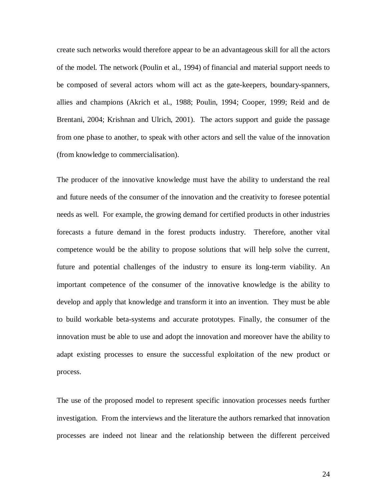create such networks would therefore appear to be an advantageous skill for all the actors of the model. The network (Poulin et al., 1994) of financial and material support needs to be composed of several actors whom will act as the gate-keepers, boundary-spanners, allies and champions (Akrich et al., 1988; Poulin, 1994; Cooper, 1999; Reid and de Brentani, 2004; Krishnan and Ulrich, 2001). The actors support and guide the passage from one phase to another, to speak with other actors and sell the value of the innovation (from knowledge to commercialisation).

The producer of the innovative knowledge must have the ability to understand the real and future needs of the consumer of the innovation and the creativity to foresee potential needs as well. For example, the growing demand for certified products in other industries forecasts a future demand in the forest products industry. Therefore, another vital competence would be the ability to propose solutions that will help solve the current, future and potential challenges of the industry to ensure its long-term viability. An important competence of the consumer of the innovative knowledge is the ability to develop and apply that knowledge and transform it into an invention. They must be able to build workable beta-systems and accurate prototypes. Finally, the consumer of the innovation must be able to use and adopt the innovation and moreover have the ability to adapt existing processes to ensure the successful exploitation of the new product or process.

The use of the proposed model to represent specific innovation processes needs further investigation. From the interviews and the literature the authors remarked that innovation processes are indeed not linear and the relationship between the different perceived

24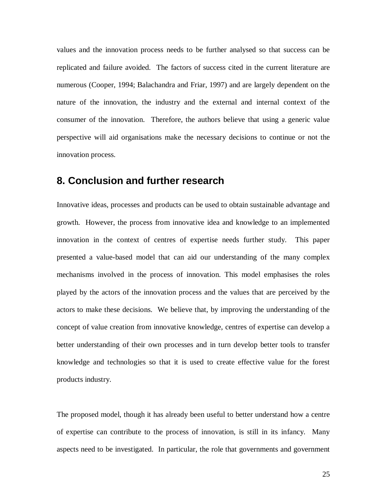values and the innovation process needs to be further analysed so that success can be replicated and failure avoided. The factors of success cited in the current literature are numerous (Cooper, 1994; Balachandra and Friar, 1997) and are largely dependent on the nature of the innovation, the industry and the external and internal context of the consumer of the innovation. Therefore, the authors believe that using a generic value perspective will aid organisations make the necessary decisions to continue or not the innovation process.

## **8. Conclusion and further research**

Innovative ideas, processes and products can be used to obtain sustainable advantage and growth. However, the process from innovative idea and knowledge to an implemented innovation in the context of centres of expertise needs further study. This paper presented a value-based model that can aid our understanding of the many complex mechanisms involved in the process of innovation. This model emphasises the roles played by the actors of the innovation process and the values that are perceived by the actors to make these decisions. We believe that, by improving the understanding of the concept of value creation from innovative knowledge, centres of expertise can develop a better understanding of their own processes and in turn develop better tools to transfer knowledge and technologies so that it is used to create effective value for the forest products industry.

The proposed model, though it has already been useful to better understand how a centre of expertise can contribute to the process of innovation, is still in its infancy. Many aspects need to be investigated. In particular, the role that governments and government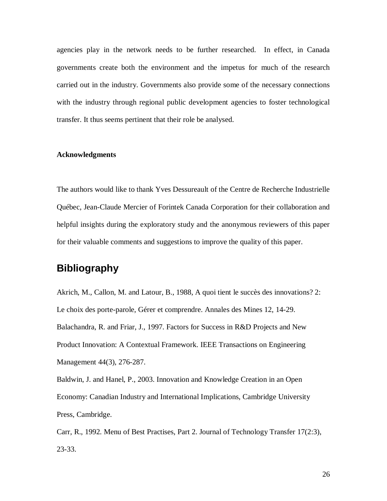agencies play in the network needs to be further researched. In effect, in Canada governments create both the environment and the impetus for much of the research carried out in the industry. Governments also provide some of the necessary connections with the industry through regional public development agencies to foster technological transfer. It thus seems pertinent that their role be analysed.

#### **Acknowledgments**

The authors would like to thank Yves Dessureault of the Centre de Recherche Industrielle Québec, Jean-Claude Mercier of Forintek Canada Corporation for their collaboration and helpful insights during the exploratory study and the anonymous reviewers of this paper for their valuable comments and suggestions to improve the quality of this paper.

## **Bibliography**

Akrich, M., Callon, M. and Latour, B., 1988, A quoi tient le succès des innovations? 2: Le choix des porte-parole, Gérer et comprendre. Annales des Mines 12, 14-29. Balachandra, R. and Friar, J., 1997. Factors for Success in R&D Projects and New Product Innovation: A Contextual Framework. IEEE Transactions on Engineering Management 44(3), 276-287.

Baldwin, J. and Hanel, P., 2003. Innovation and Knowledge Creation in an Open Economy: Canadian Industry and International Implications, Cambridge University Press, Cambridge.

Carr, R., 1992. Menu of Best Practises, Part 2. Journal of Technology Transfer 17(2:3), 23-33.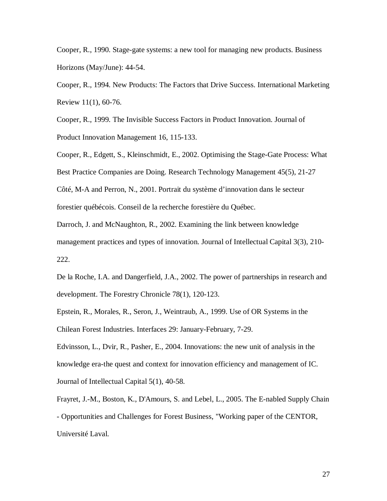Cooper, R., 1990. Stage-gate systems: a new tool for managing new products. Business Horizons (May/June): 44-54.

Cooper, R., 1994. New Products: The Factors that Drive Success. International Marketing Review 11(1), 60-76.

Cooper, R., 1999. The Invisible Success Factors in Product Innovation. Journal of Product Innovation Management 16, 115-133.

Cooper, R., Edgett, S., Kleinschmidt, E., 2002. Optimising the Stage-Gate Process: What Best Practice Companies are Doing. Research Technology Management 45(5), 21-27 Côté, M-A and Perron, N., 2001. Portrait du système d'innovation dans le secteur forestier québécois. Conseil de la recherche forestière du Québec.

Darroch, J. and McNaughton, R., 2002. Examining the link between knowledge management practices and types of innovation. Journal of Intellectual Capital 3(3), 210- 222.

De la Roche, I.A. and Dangerfield, J.A., 2002. The power of partnerships in research and development. The Forestry Chronicle 78(1), 120-123.

Epstein, R., Morales, R., Seron, J., Weintraub, A., 1999. Use of OR Systems in the Chilean Forest Industries. Interfaces 29: January-February, 7-29.

Edvinsson, L., Dvir, R., Pasher, E., 2004. Innovations: the new unit of analysis in the knowledge era-the quest and context for innovation efficiency and management of IC. Journal of Intellectual Capital 5(1), 40-58.

Frayret, J.-M., Boston, K., D'Amours, S. and Lebel, L., 2005. The E-nabled Supply Chain - Opportunities and Challenges for Forest Business, "Working paper of the CENTOR, Université Laval.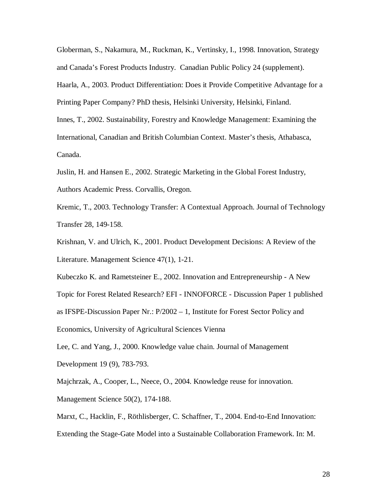Globerman, S., Nakamura, M., Ruckman, K., Vertinsky, I., 1998. Innovation, Strategy and Canada's Forest Products Industry. Canadian Public Policy 24 (supplement). Haarla, A., 2003. Product Differentiation: Does it Provide Competitive Advantage for a Printing Paper Company? PhD thesis, Helsinki University, Helsinki, Finland. Innes, T., 2002. Sustainability, Forestry and Knowledge Management: Examining the International, Canadian and British Columbian Context. Master's thesis, Athabasca, Canada.

Juslin, H. and Hansen E., 2002. Strategic Marketing in the Global Forest Industry, Authors Academic Press. Corvallis, Oregon.

Kremic, T., 2003. Technology Transfer: A Contextual Approach. Journal of Technology Transfer 28, 149-158.

Krishnan, V. and Ulrich, K., 2001. Product Development Decisions: A Review of the Literature. Management Science 47(1), 1-21.

Kubeczko K. and Rametsteiner E., 2002. Innovation and Entrepreneurship - A New Topic for Forest Related Research? EFI - INNOFORCE - Discussion Paper 1 published as IFSPE-Discussion Paper Nr.: P/2002 – 1, Institute for Forest Sector Policy and Economics, University of Agricultural Sciences Vienna

Lee, C. and Yang, J., 2000. Knowledge value chain. Journal of Management Development 19 (9), 783-793.

Majchrzak, A., Cooper, L., Neece, O., 2004. Knowledge reuse for innovation. Management Science 50(2), 174-188.

Marxt, C., Hacklin, F., Röthlisberger, C. Schaffner, T., 2004. End-to-End Innovation: Extending the Stage-Gate Model into a Sustainable Collaboration Framework. In: M.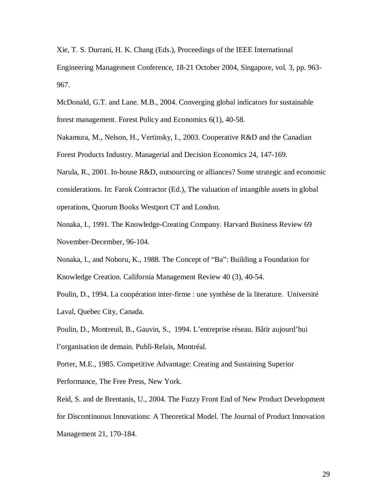Xie, T. S. Durrani, H. K. Chang (Eds.), Proceedings of the IEEE International Engineering Management Conference, 18-21 October 2004, Singapore, vol. 3, pp. 963- 967.

McDonald, G.T. and Lane. M.B., 2004. Converging global indicators for sustainable forest management. Forest Policy and Economics 6(1), 40-58.

Nakamura, M., Nelson, H., Vertinsky, I., 2003. Cooperative R&D and the Canadian Forest Products Industry. Managerial and Decision Economics 24, 147-169.

Narula, R., 2001. In-house R&D, outsourcing or alliances? Some strategic and economic considerations. In: Farok Contractor (Ed.), The valuation of intangible assets in global operations, Quorum Books Westport CT and London.

Nonaka, I., 1991. The Knowledge-Creating Company. Harvard Business Review 69 November-December, 96-104.

Nonaka, I., and Noboru, K., 1988. The Concept of "Ba": Building a Foundation for Knowledge Creation. California Management Review 40 (3), 40-54.

Poulin, D., 1994. La coopération inter-firme : une synthèse de la literature. Université Laval, Quebec City, Canada.

Poulin, D., Montreuil, B., Gauvin, S., 1994. L'entreprise réseau. Bâtir aujourd'hui l'organisation de demain. Publi-Relais, Montréal.

Porter, M.E., 1985. Competitive Advantage: Creating and Sustaining Superior Performance, The Free Press, New York.

Reid, S. and de Brentanis, U., 2004. The Fuzzy Front End of New Product Development for Discontinuous Innovations: A Theoretical Model. The Journal of Product Innovation Management 21, 170-184.